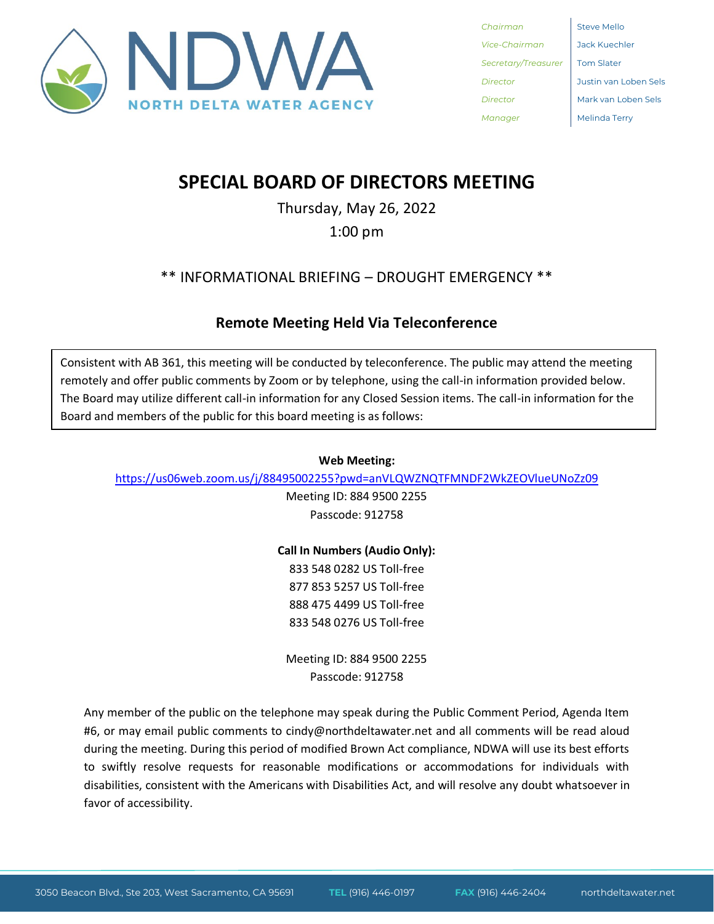

**Chairman** Steve Mello *Vice-Chairman* Jack Kuechler **Secretary/Treasurer** Tom Slater *Manager* Melinda Terry

*Director* Justin van Loben Sels *Director* Mark van Loben Sels

## **SPECIAL BOARD OF DIRECTORS MEETING**

Thursday, May 26, 2022 1:00 pm

\*\* INFORMATIONAL BRIEFING – DROUGHT EMERGENCY \*\*

## **Remote Meeting Held Via Teleconference**

Consistent with AB 361, this meeting will be conducted by teleconference. The public may attend the meeting remotely and offer public comments by Zoom or by telephone, using the call-in information provided below. The Board may utilize different call-in information for any Closed Session items. The call-in information for the Board and members of the public for this board meeting is as follows:

## **Web Meeting:**

<https://us06web.zoom.us/j/88495002255?pwd=anVLQWZNQTFMNDF2WkZEOVlueUNoZz09>

Meeting ID: 884 9500 2255 Passcode: 912758

**Call In Numbers (Audio Only):**

833 548 0282 US Toll-free 877 853 5257 US Toll-free 888 475 4499 US Toll-free 833 548 0276 US Toll-free

Meeting ID: 884 9500 2255 Passcode: 912758

Any member of the public on the telephone may speak during the Public Comment Period, Agenda Item #6, or may email public comments to cindy@northdeltawater.net and all comments will be read aloud during the meeting. During this period of modified Brown Act compliance, NDWA will use its best efforts to swiftly resolve requests for reasonable modifications or accommodations for individuals with disabilities, consistent with the Americans with Disabilities Act, and will resolve any doubt whatsoever in favor of accessibility.